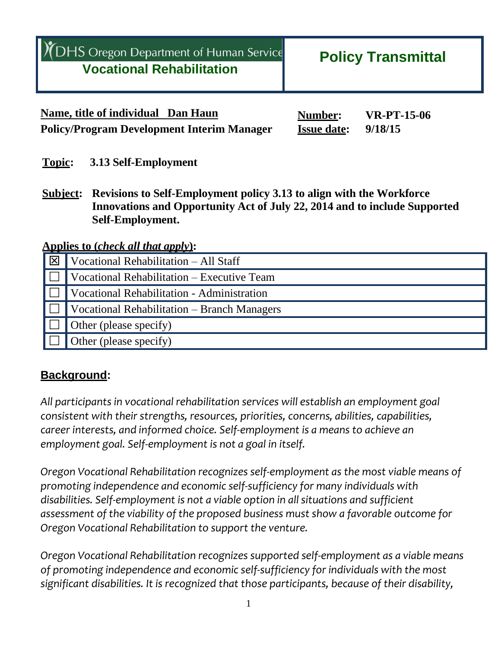| YOHS Oregon Department of Human Service<br><b>Vocational Rehabilitation</b> | <b>Policy Transmittal</b>     |  |
|-----------------------------------------------------------------------------|-------------------------------|--|
| Name, title of individual Dan Haun                                          | <b>VR-PT-15-06</b><br>Number: |  |

**Topic: 3.13 Self-Employment**

**Subject: Revisions to Self-Employment policy 3.13 to align with the Workforce Innovations and Opportunity Act of July 22, 2014 and to include Supported Self-Employment.**

**Policy/Program Development Interim Manager Issue date: 9/18/15**

**Applies to (***check all that apply***):**

| ∣⊠ | Vocational Rehabilitation - All Staff       |
|----|---------------------------------------------|
|    | Vocational Rehabilitation - Executive Team  |
|    | Vocational Rehabilitation - Administration  |
|    | Vocational Rehabilitation – Branch Managers |
|    | Other (please specify)                      |
|    | Other (please specify)                      |

### **Background:**

*All participants in vocational rehabilitation services will establish an employment goal consistent with their strengths, resources, priorities, concerns, abilities, capabilities, career interests, and informed choice. Self-employment is a means to achieve an employment goal. Self-employment is not a goal in itself.*

*Oregon Vocational Rehabilitation recognizes self-employment as the most viable means of promoting independence and economic self-sufficiency for many individuals with disabilities. Self-employment is not a viable option in all situations and sufficient assessment of the viability of the proposed business must show a favorable outcome for Oregon Vocational Rehabilitation to support the venture.*

*Oregon Vocational Rehabilitation recognizes supported self-employment as a viable means of promoting independence and economic self-sufficiency for individuals with the most significant disabilities. It is recognized that those participants, because of their disability,*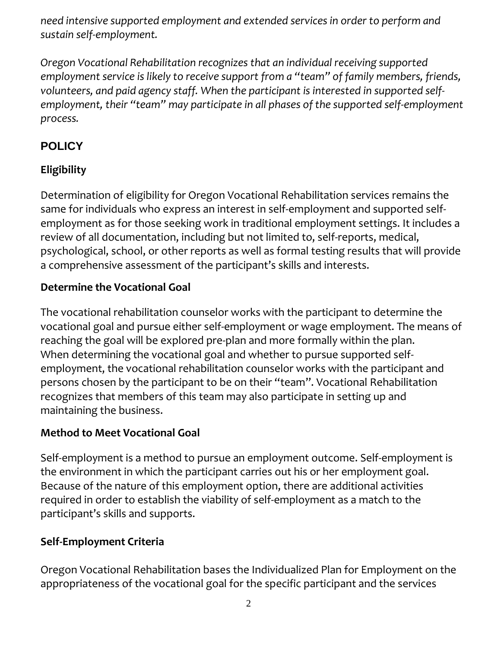*need intensive supported employment and extended services in order to perform and sustain self-employment.* 

*Oregon Vocational Rehabilitation recognizes that an individual receiving supported employment service is likely to receive support from a "team" of family members, friends, volunteers, and paid agency staff. When the participant is interested in supported selfemployment, their "team" may participate in all phases of the supported self-employment process.* 

## **POLICY**

# **Eligibility**

Determination of eligibility for Oregon Vocational Rehabilitation services remains the same for individuals who express an interest in self-employment and supported selfemployment as for those seeking work in traditional employment settings. It includes a review of all documentation, including but not limited to, self-reports, medical, psychological, school, or other reports as well as formal testing results that will provide a comprehensive assessment of the participant's skills and interests.

#### **Determine the Vocational Goal**

The vocational rehabilitation counselor works with the participant to determine the vocational goal and pursue either self-employment or wage employment. The means of reaching the goal will be explored pre-plan and more formally within the plan. When determining the vocational goal and whether to pursue supported selfemployment, the vocational rehabilitation counselor works with the participant and persons chosen by the participant to be on their "team". Vocational Rehabilitation recognizes that members of this team may also participate in setting up and maintaining the business.

#### **Method to Meet Vocational Goal**

Self-employment is a method to pursue an employment outcome. Self-employment is the environment in which the participant carries out his or her employment goal. Because of the nature of this employment option, there are additional activities required in order to establish the viability of self-employment as a match to the participant's skills and supports.

#### **Self‐Employment Criteria**

Oregon Vocational Rehabilitation bases the Individualized Plan for Employment on the appropriateness of the vocational goal for the specific participant and the services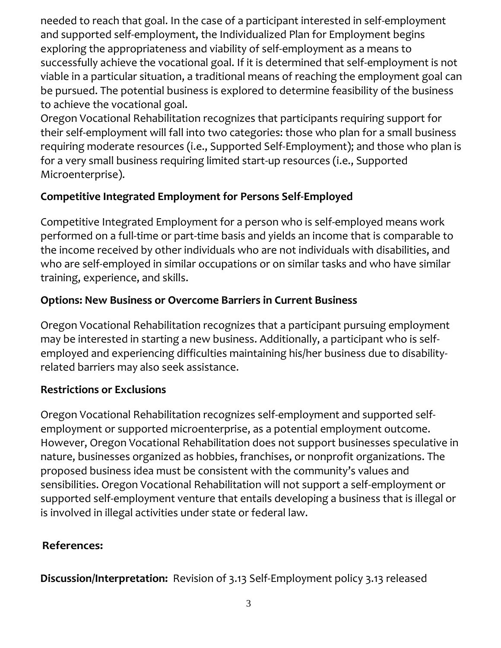needed to reach that goal. In the case of a participant interested in self-employment and supported self-employment, the Individualized Plan for Employment begins exploring the appropriateness and viability of self-employment as a means to successfully achieve the vocational goal. If it is determined that self-employment is not viable in a particular situation, a traditional means of reaching the employment goal can be pursued. The potential business is explored to determine feasibility of the business to achieve the vocational goal.

Oregon Vocational Rehabilitation recognizes that participants requiring support for their self-employment will fall into two categories: those who plan for a small business requiring moderate resources (i.e., Supported Self-Employment); and those who plan is for a very small business requiring limited start-up resources (i.e., Supported Microenterprise).

## **Competitive Integrated Employment for Persons Self-Employed**

Competitive Integrated Employment for a person who is self-employed means work performed on a full-time or part-time basis and yields an income that is comparable to the income received by other individuals who are not individuals with disabilities, and who are self-employed in similar occupations or on similar tasks and who have similar training, experience, and skills.

## **Options: New Business or Overcome Barriers in Current Business**

Oregon Vocational Rehabilitation recognizes that a participant pursuing employment may be interested in starting a new business. Additionally, a participant who is selfemployed and experiencing difficulties maintaining his/her business due to disabilityrelated barriers may also seek assistance.

### **Restrictions or Exclusions**

Oregon Vocational Rehabilitation recognizes self-employment and supported selfemployment or supported microenterprise, as a potential employment outcome. However, Oregon Vocational Rehabilitation does not support businesses speculative in nature, businesses organized as hobbies, franchises, or nonprofit organizations. The proposed business idea must be consistent with the community's values and sensibilities. Oregon Vocational Rehabilitation will not support a self-employment or supported self-employment venture that entails developing a business that is illegal or is involved in illegal activities under state or federal law.

# **References:**

**Discussion/Interpretation:** Revision of 3.13 Self-Employment policy 3.13 released